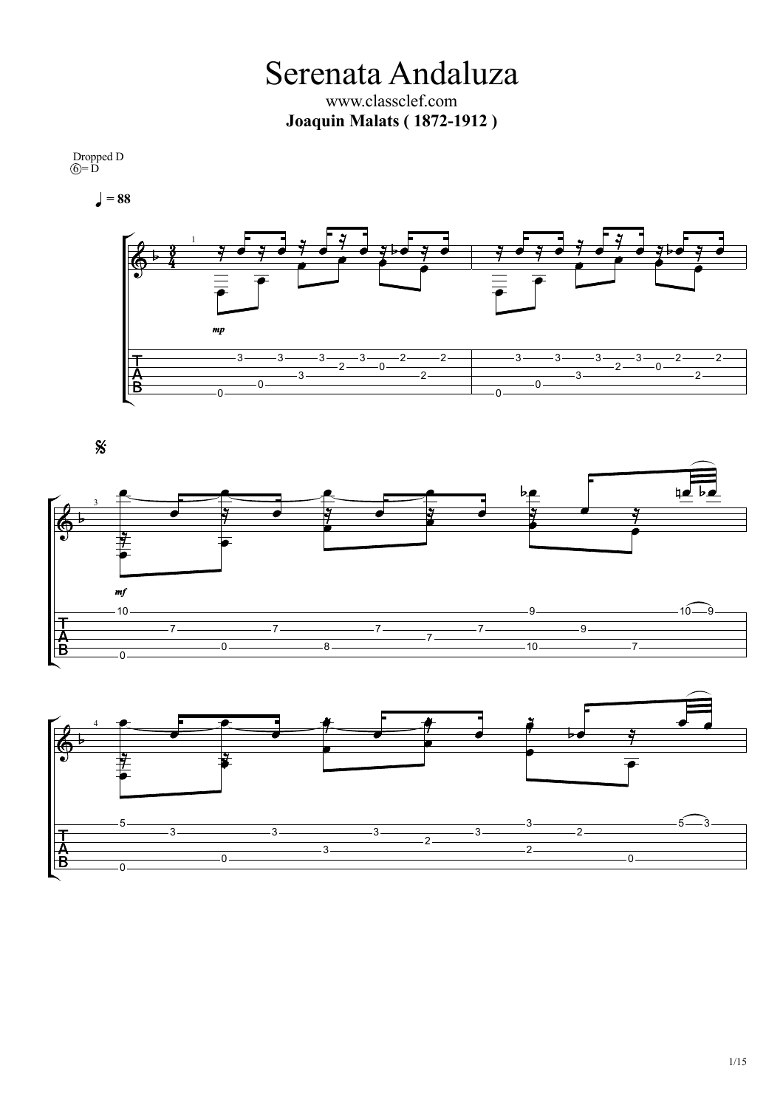Serenata Andaluza www.classclef.com **Joaquin Malats ( 1872-1912 )**

Dropped D  $\widehat{O} = \overline{D}$ 

**= 88**



 $\boldsymbol{\mathsf{S}}$ 



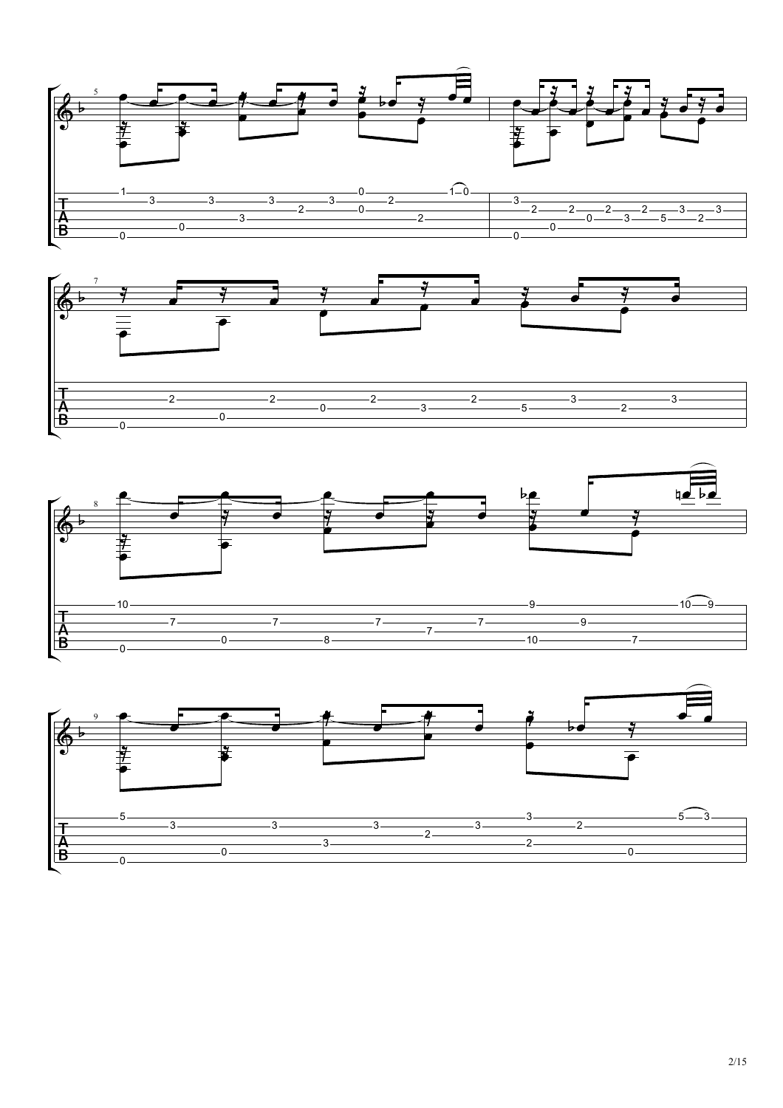







2/15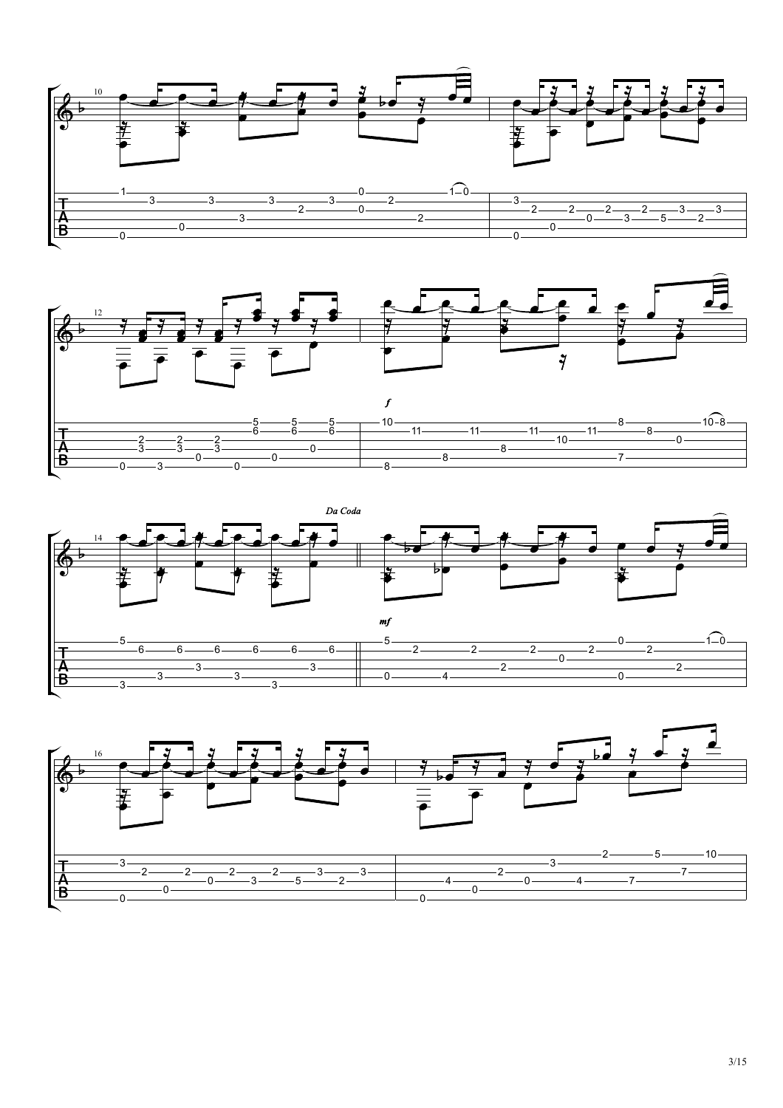





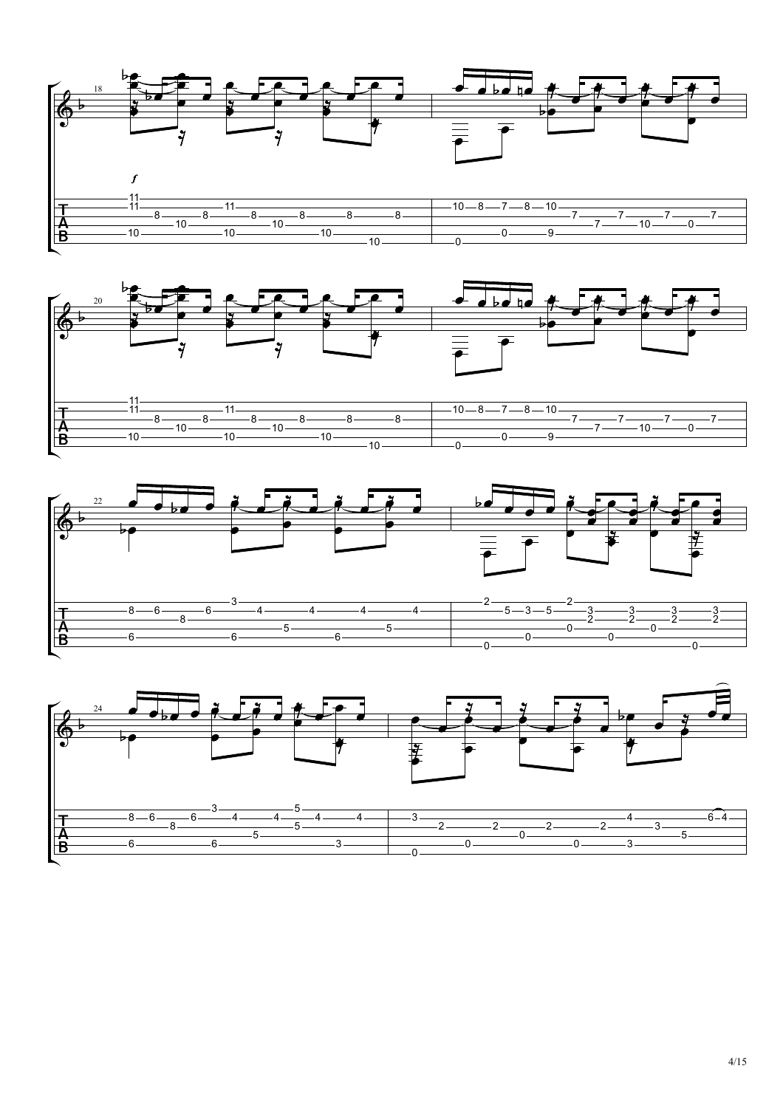





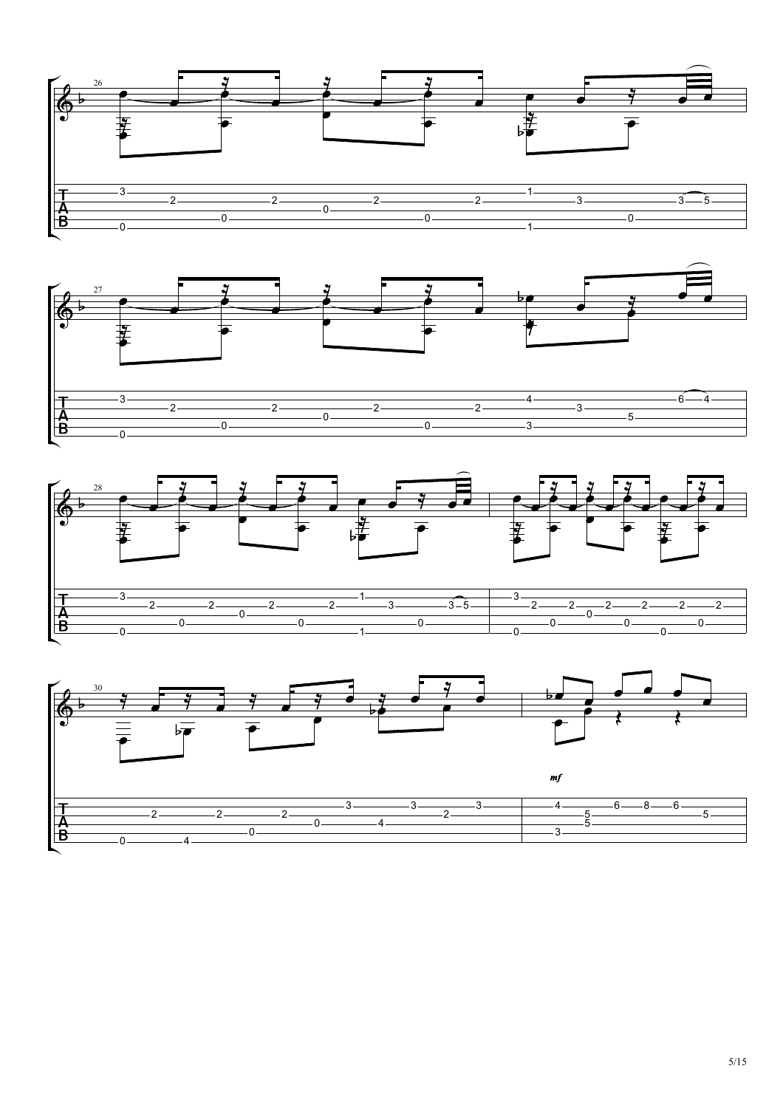





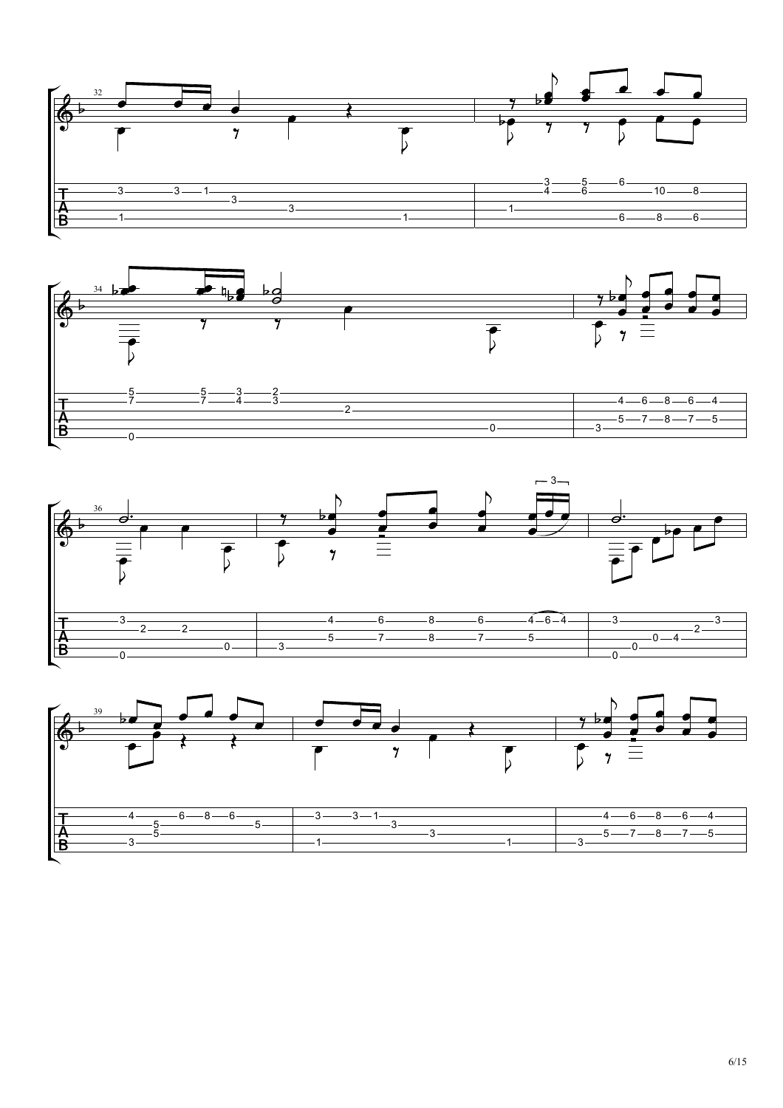





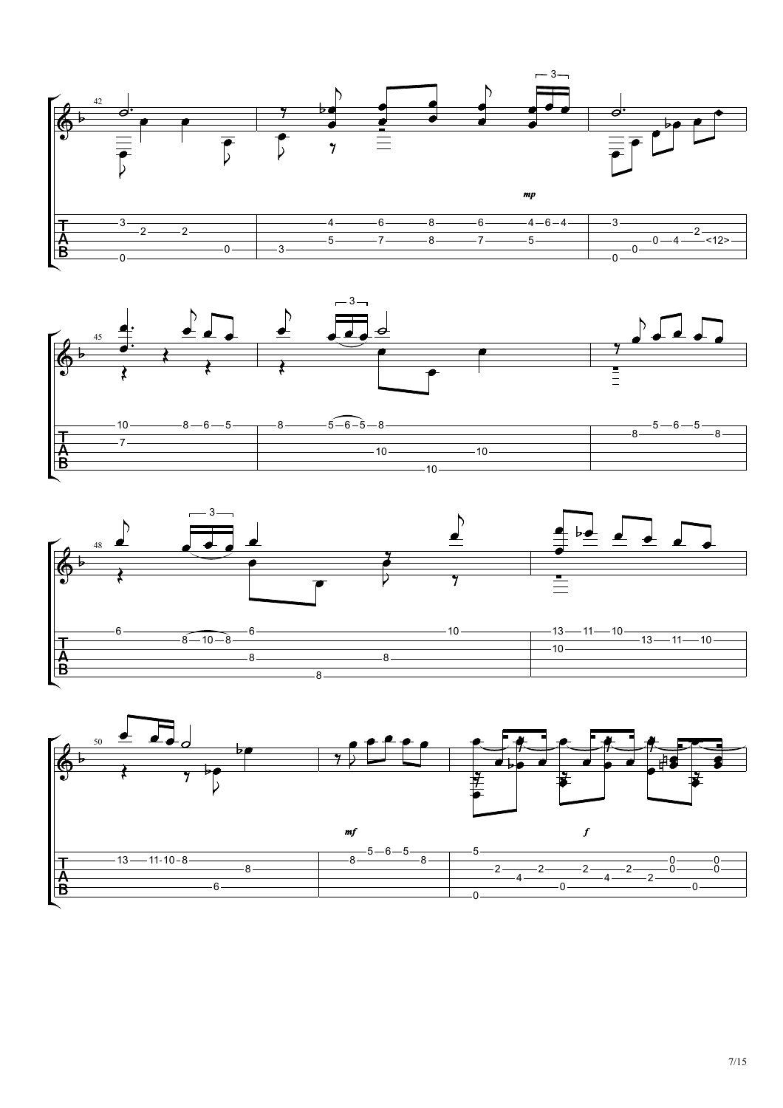





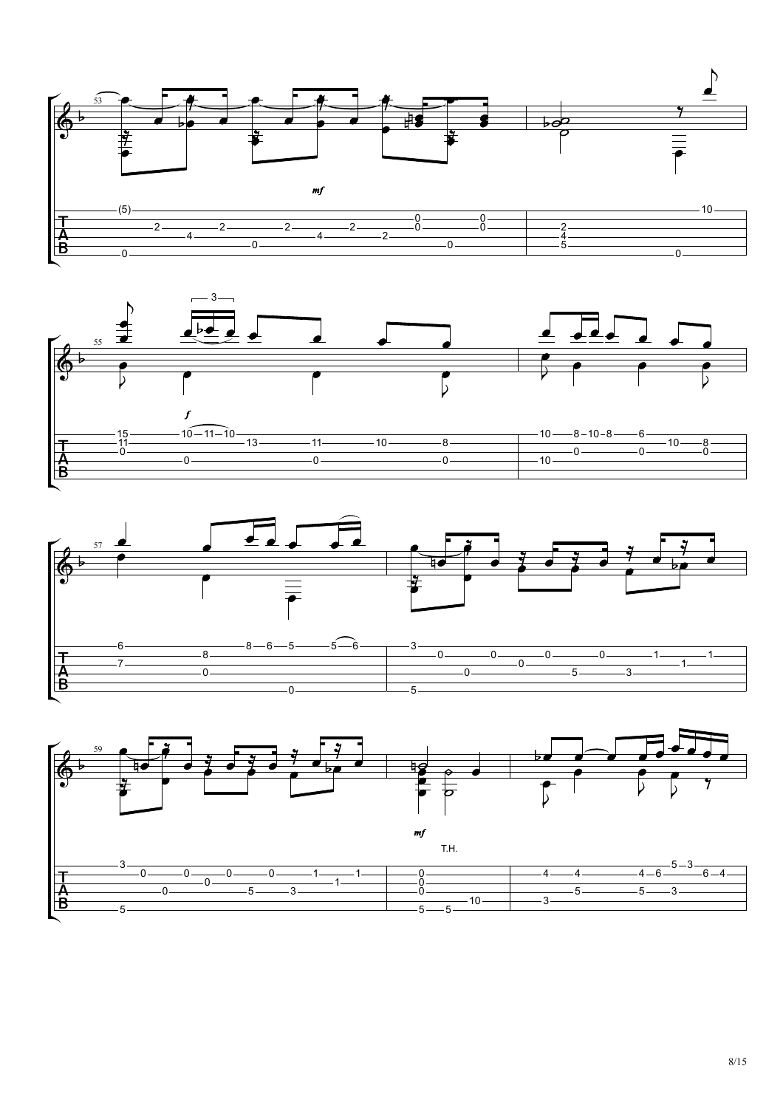





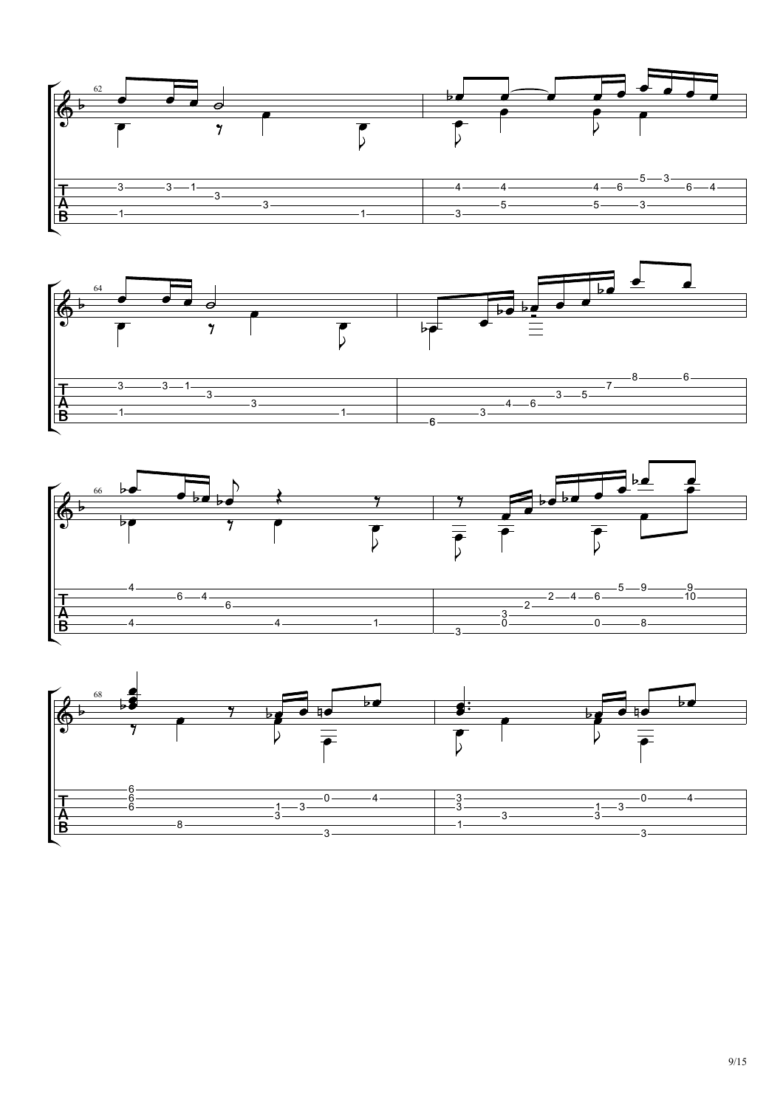





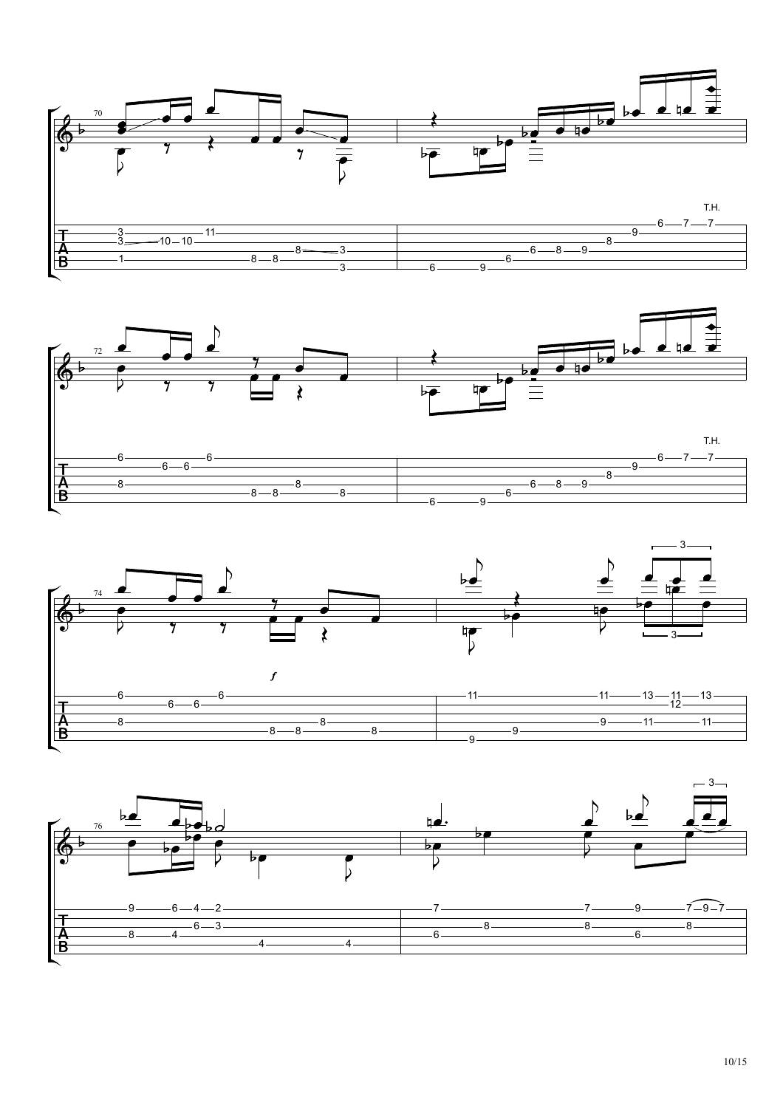







10/15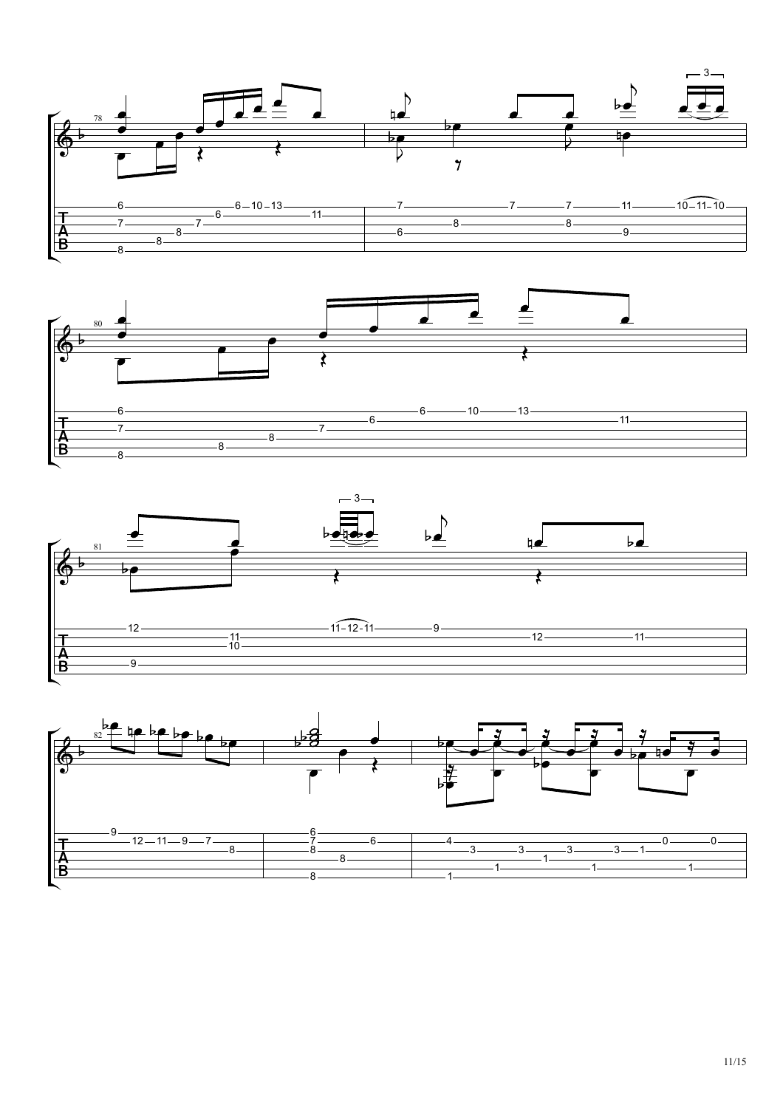





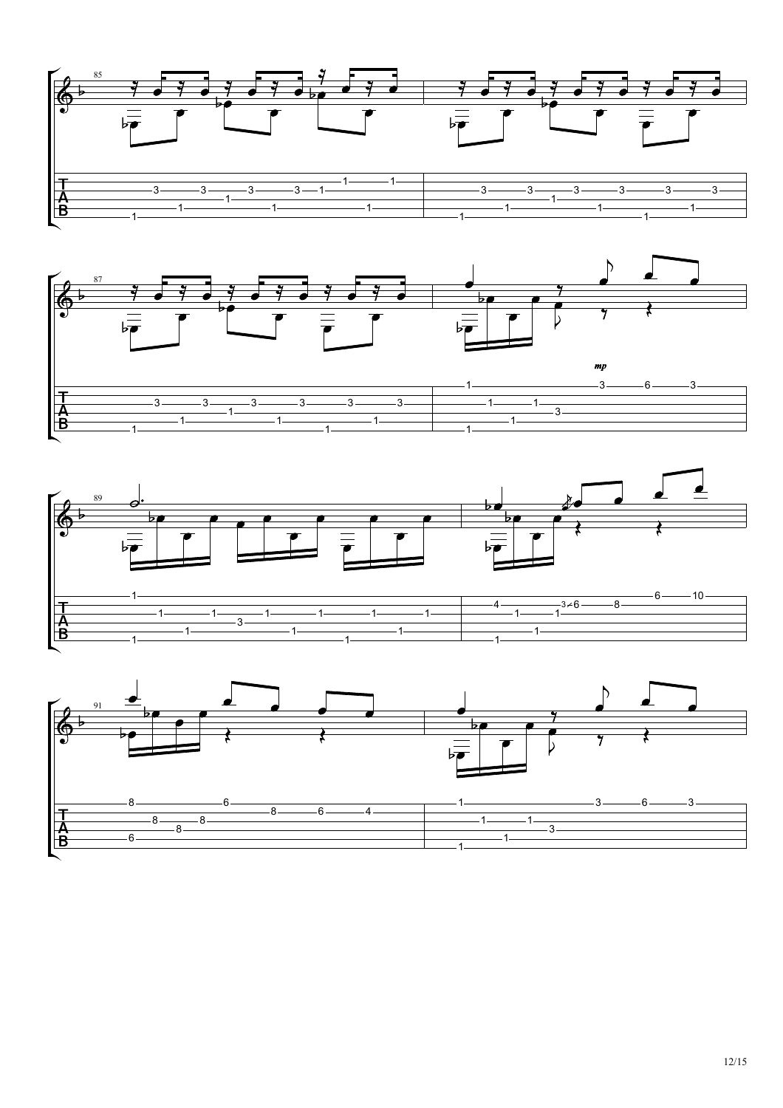





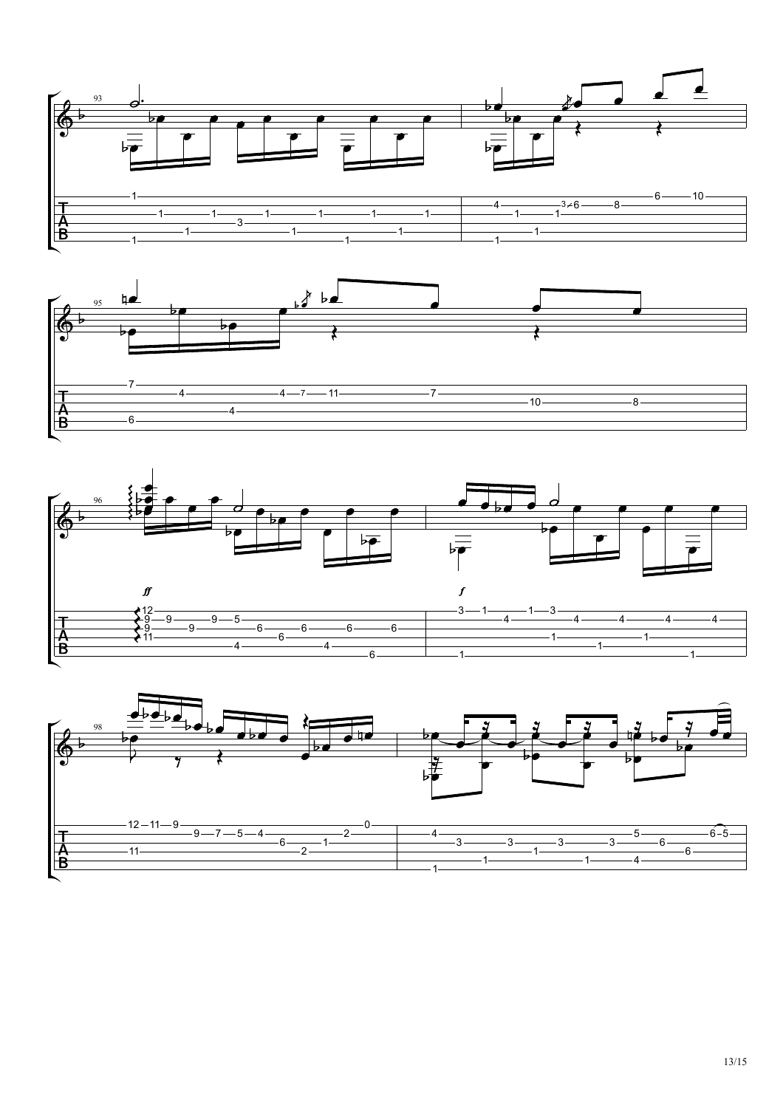





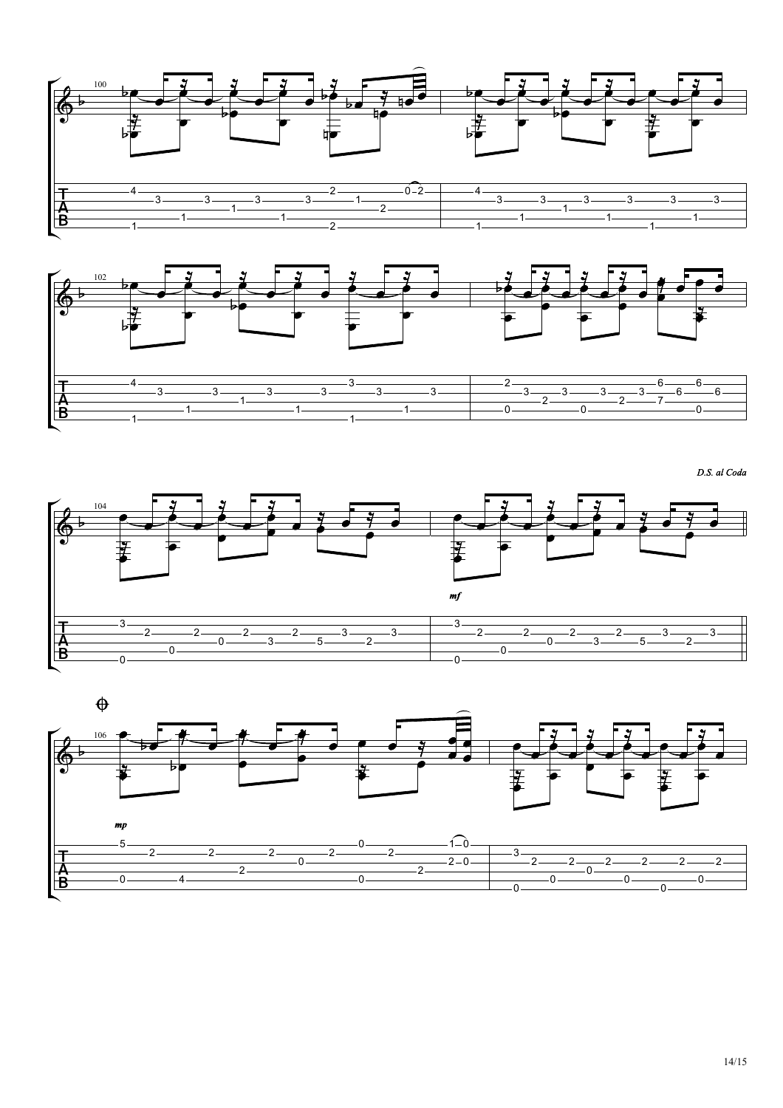



D.S. al Coda



 $\ddot{\Theta}$   $\rightarrow$   $\Box$  $\mathbf{J}$  $\overline{\phantom{a}}$  $\boldsymbol{m}p$   $-5$   $-2$  $\frac{0}{0}$  $0 \rightarrow$  $\frac{1}{-0}$  - 2 - $2 \frac{\cdot}{\cdot}$   $2 \frac{\cdot}{\cdot}$   $2 \frac{\cdot}{\cdot}$  $\frac{3}{2}$  -2 - 2 - 2 2 – 0 —  $-$  –  $-$  2 –  $2 - 2 - 2 - 2$  2 2 $-0$  $4 \overline{\phantom{1}}^{2}$  $\overline{0}$   $\overline{\phantom{0}}$   $\overline{\phantom{0}}$   $\overline{\phantom{0}}$   $\overline{\phantom{0}}$   $\overline{\phantom{0}}$   $\overline{\phantom{0}}$   $\overline{\phantom{0}}$   $\overline{\phantom{0}}$   $\overline{\phantom{0}}$   $\overline{\phantom{0}}$   $\overline{\phantom{0}}$   $\overline{\phantom{0}}$   $\overline{\phantom{0}}$   $\overline{\phantom{0}}$   $\overline{\phantom{0}}$   $\overline{\phantom{0}}$   $\overline{\phantom{0}}$   $\overline{\phantom{$ 

 $-0$   $-4$ 

14/15

 $\overline{0}$  0 -

 $0 \longrightarrow \qquad \qquad$ 

 $0 \longrightarrow 0$ 

 $-0$   $0$   $-$